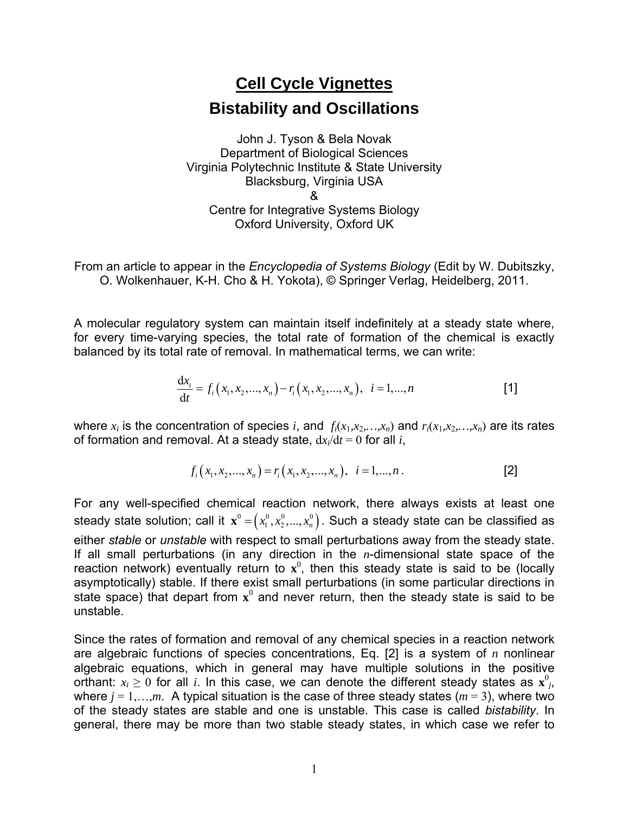# **Cell Cycle Vignettes Bistability and Oscillations**

John J. Tyson & Bela Novak Department of Biological Sciences Virginia Polytechnic Institute & State University Blacksburg, Virginia USA & Centre for Integrative Systems Biology Oxford University, Oxford UK

From an article to appear in the *Encyclopedia of Systems Biology* (Edit by W. Dubitszky, O. Wolkenhauer, K-H. Cho & H. Yokota), © Springer Verlag, Heidelberg, 2011.

A molecular regulatory system can maintain itself indefinitely at a steady state where, for every time-varying species, the total rate of formation of the chemical is exactly balanced by its total rate of removal. In mathematical terms, we can write:

$$
\frac{dx_i}{dt} = f_i(x_1, x_2, ..., x_n) - r_i(x_1, x_2, ..., x_n), \quad i = 1, ..., n
$$
\n[1]

where  $x_i$  is the concentration of species *i*, and  $f_i(x_1, x_2, \ldots, x_n)$  and  $r_i(x_1, x_2, \ldots, x_n)$  are its rates of formation and removal. At a steady state,  $dx_i/dt = 0$  for all *i*,

$$
f_i(x_1, x_2, \dots, x_n) = r_i(x_1, x_2, \dots, x_n), \quad i = 1, \dots, n.
$$
 [2]

For any well-specified chemical reaction network, there always exists at least one steady state solution; call it  $\mathbf{x}^0 = (x_1^0, x_2^0, ..., x_n^0)$ . Such a steady state can be classified as either *stable* or *unstable* with respect to small perturbations away from the steady state. If all small perturbations (in any direction in the *n*-dimensional state space of the reaction network) eventually return to  $x^0$ , then this steady state is said to be (locally asymptotically) stable. If there exist small perturbations (in some particular directions in state space) that depart from x<sup>0</sup> and never return, then the steady state is said to be unstable.

Since the rates of formation and removal of any chemical species in a reaction network are algebraic functions of species concentrations, Eq. [2] is a system of *n* nonlinear algebraic equations, which in general may have multiple solutions in the positive orthant:  $x_i \geq 0$  for all *i*. In this case, we can denote the different steady states as  $\mathbf{x}^0_{j}$ , where  $j = 1, \ldots, m$ . A typical situation is the case of three steady states ( $m = 3$ ), where two of the steady states are stable and one is unstable. This case is called *bistability*. In general, there may be more than two stable steady states, in which case we refer to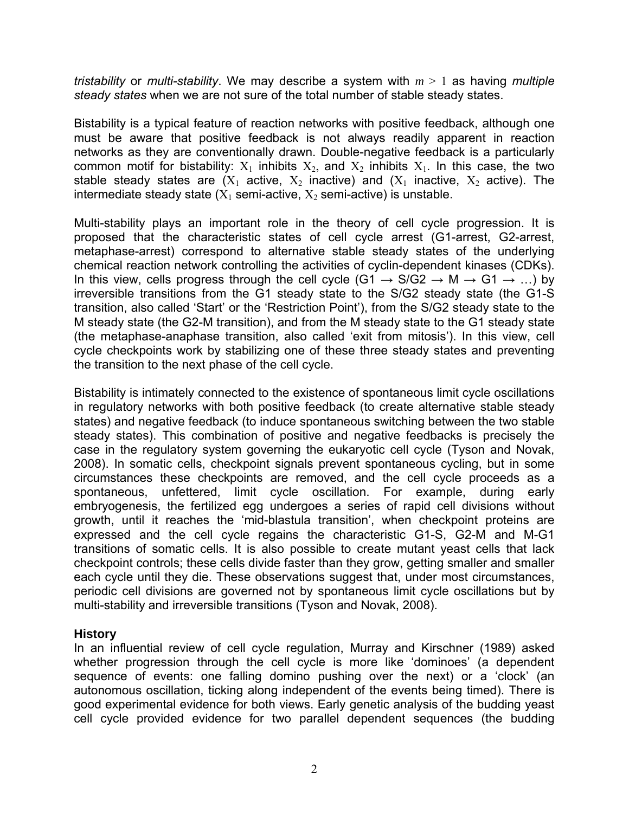*tristability* or *multi-stability*. We may describe a system with *m* > 1 as having *multiple steady states* when we are not sure of the total number of stable steady states.

Bistability is a typical feature of reaction networks with positive feedback, although one must be aware that positive feedback is not always readily apparent in reaction networks as they are conventionally drawn. Double-negative feedback is a particularly common motif for bistability:  $X_1$  inhibits  $X_2$ , and  $X_2$  inhibits  $X_1$ . In this case, the two stable steady states are  $(X_1 \text{ active}, X_2 \text{ inactive})$  and  $(X_1 \text{ inactive}, X_2 \text{ active})$ . The intermediate steady state  $(X_1$  semi-active,  $X_2$  semi-active) is unstable.

Multi-stability plays an important role in the theory of cell cycle progression. It is proposed that the characteristic states of cell cycle arrest (G1-arrest, G2-arrest, metaphase-arrest) correspond to alternative stable steady states of the underlying chemical reaction network controlling the activities of cyclin-dependent kinases (CDKs). In this view, cells progress through the cell cycle (G1  $\rightarrow$  S/G2  $\rightarrow$  M  $\rightarrow$  G1  $\rightarrow$  ...) by irreversible transitions from the G1 steady state to the S/G2 steady state (the G1-S transition, also called 'Start' or the 'Restriction Point'), from the S/G2 steady state to the M steady state (the G2-M transition), and from the M steady state to the G1 steady state (the metaphase-anaphase transition, also called 'exit from mitosis'). In this view, cell cycle checkpoints work by stabilizing one of these three steady states and preventing the transition to the next phase of the cell cycle.

Bistability is intimately connected to the existence of spontaneous limit cycle oscillations in regulatory networks with both positive feedback (to create alternative stable steady states) and negative feedback (to induce spontaneous switching between the two stable steady states). This combination of positive and negative feedbacks is precisely the case in the regulatory system governing the eukaryotic cell cycle (Tyson and Novak, 2008). In somatic cells, checkpoint signals prevent spontaneous cycling, but in some circumstances these checkpoints are removed, and the cell cycle proceeds as a spontaneous, unfettered, limit cycle oscillation. For example, during early embryogenesis, the fertilized egg undergoes a series of rapid cell divisions without growth, until it reaches the 'mid-blastula transition', when checkpoint proteins are expressed and the cell cycle regains the characteristic G1-S, G2-M and M-G1 transitions of somatic cells. It is also possible to create mutant yeast cells that lack checkpoint controls; these cells divide faster than they grow, getting smaller and smaller each cycle until they die. These observations suggest that, under most circumstances, periodic cell divisions are governed not by spontaneous limit cycle oscillations but by multi-stability and irreversible transitions (Tyson and Novak, 2008).

# **History**

In an influential review of cell cycle regulation, Murray and Kirschner (1989) asked whether progression through the cell cycle is more like 'dominoes' (a dependent sequence of events: one falling domino pushing over the next) or a 'clock' (an autonomous oscillation, ticking along independent of the events being timed). There is good experimental evidence for both views. Early genetic analysis of the budding yeast cell cycle provided evidence for two parallel dependent sequences (the budding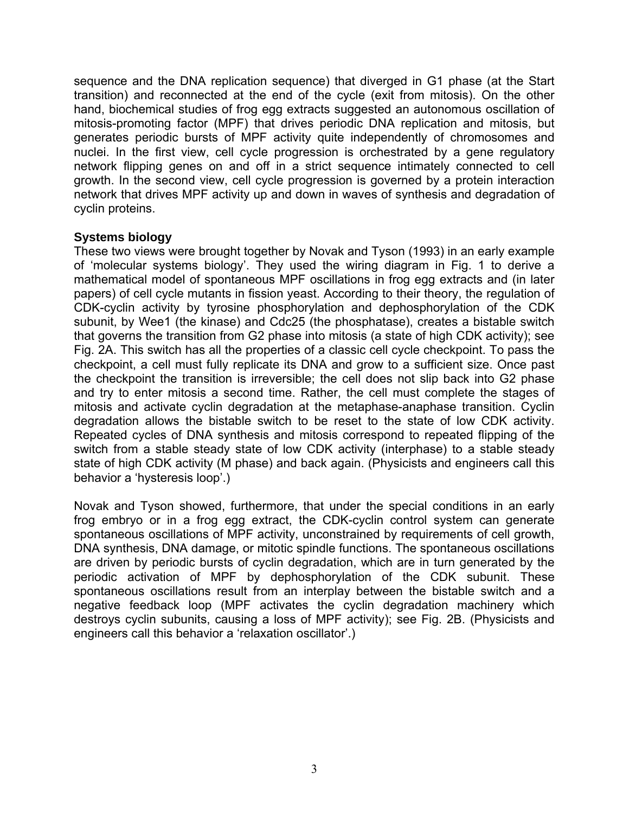sequence and the DNA replication sequence) that diverged in G1 phase (at the Start transition) and reconnected at the end of the cycle (exit from mitosis). On the other hand, biochemical studies of frog egg extracts suggested an autonomous oscillation of mitosis-promoting factor (MPF) that drives periodic DNA replication and mitosis, but generates periodic bursts of MPF activity quite independently of chromosomes and nuclei. In the first view, cell cycle progression is orchestrated by a gene regulatory network flipping genes on and off in a strict sequence intimately connected to cell growth. In the second view, cell cycle progression is governed by a protein interaction network that drives MPF activity up and down in waves of synthesis and degradation of cyclin proteins.

# **Systems biology**

These two views were brought together by Novak and Tyson (1993) in an early example of 'molecular systems biology'. They used the wiring diagram in Fig. 1 to derive a mathematical model of spontaneous MPF oscillations in frog egg extracts and (in later papers) of cell cycle mutants in fission yeast. According to their theory, the regulation of CDK-cyclin activity by tyrosine phosphorylation and dephosphorylation of the CDK subunit, by Wee1 (the kinase) and Cdc25 (the phosphatase), creates a bistable switch that governs the transition from G2 phase into mitosis (a state of high CDK activity); see Fig. 2A. This switch has all the properties of a classic cell cycle checkpoint. To pass the checkpoint, a cell must fully replicate its DNA and grow to a sufficient size. Once past the checkpoint the transition is irreversible; the cell does not slip back into G2 phase and try to enter mitosis a second time. Rather, the cell must complete the stages of mitosis and activate cyclin degradation at the metaphase-anaphase transition. Cyclin degradation allows the bistable switch to be reset to the state of low CDK activity. Repeated cycles of DNA synthesis and mitosis correspond to repeated flipping of the switch from a stable steady state of low CDK activity (interphase) to a stable steady state of high CDK activity (M phase) and back again. (Physicists and engineers call this behavior a 'hysteresis loop'.)

Novak and Tyson showed, furthermore, that under the special conditions in an early frog embryo or in a frog egg extract, the CDK-cyclin control system can generate spontaneous oscillations of MPF activity, unconstrained by requirements of cell growth, DNA synthesis, DNA damage, or mitotic spindle functions. The spontaneous oscillations are driven by periodic bursts of cyclin degradation, which are in turn generated by the periodic activation of MPF by dephosphorylation of the CDK subunit. These spontaneous oscillations result from an interplay between the bistable switch and a negative feedback loop (MPF activates the cyclin degradation machinery which destroys cyclin subunits, causing a loss of MPF activity); see Fig. 2B. (Physicists and engineers call this behavior a 'relaxation oscillator'.)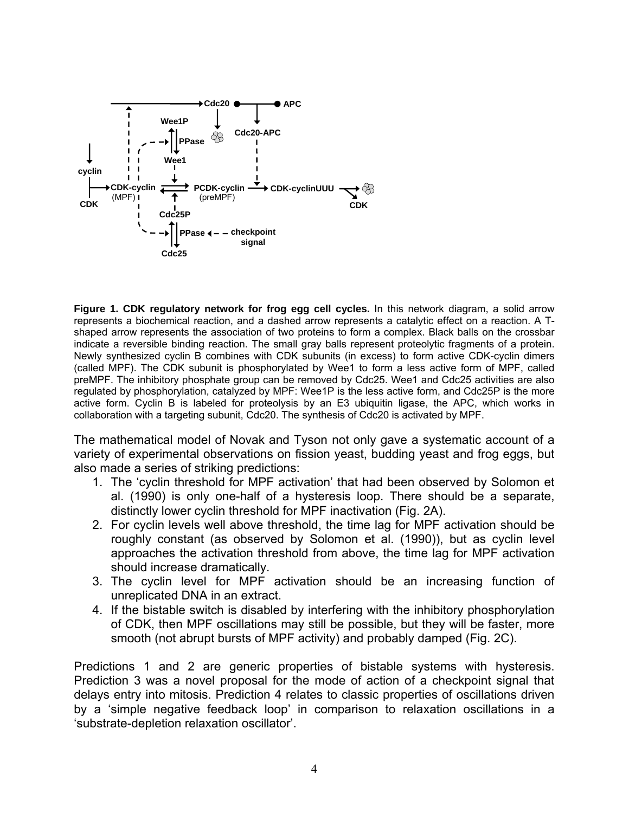

**Figure 1. CDK regulatory network for frog egg cell cycles.** In this network diagram, a solid arrow represents a biochemical reaction, and a dashed arrow represents a catalytic effect on a reaction. A Tshaped arrow represents the association of two proteins to form a complex. Black balls on the crossbar indicate a reversible binding reaction. The small gray balls represent proteolytic fragments of a protein. Newly synthesized cyclin B combines with CDK subunits (in excess) to form active CDK-cyclin dimers (called MPF). The CDK subunit is phosphorylated by Wee1 to form a less active form of MPF, called preMPF. The inhibitory phosphate group can be removed by Cdc25. Wee1 and Cdc25 activities are also regulated by phosphorylation, catalyzed by MPF: Wee1P is the less active form, and Cdc25P is the more active form. Cyclin B is labeled for proteolysis by an E3 ubiquitin ligase, the APC, which works in collaboration with a targeting subunit, Cdc20. The synthesis of Cdc20 is activated by MPF.

The mathematical model of Novak and Tyson not only gave a systematic account of a variety of experimental observations on fission yeast, budding yeast and frog eggs, but also made a series of striking predictions:

- 1. The 'cyclin threshold for MPF activation' that had been observed by Solomon et al. (1990) is only one-half of a hysteresis loop. There should be a separate, distinctly lower cyclin threshold for MPF inactivation (Fig. 2A).
- 2. For cyclin levels well above threshold, the time lag for MPF activation should be roughly constant (as observed by Solomon et al. (1990)), but as cyclin level approaches the activation threshold from above, the time lag for MPF activation should increase dramatically.
- 3. The cyclin level for MPF activation should be an increasing function of unreplicated DNA in an extract.
- 4. If the bistable switch is disabled by interfering with the inhibitory phosphorylation of CDK, then MPF oscillations may still be possible, but they will be faster, more smooth (not abrupt bursts of MPF activity) and probably damped (Fig. 2C).

Predictions 1 and 2 are generic properties of bistable systems with hysteresis. Prediction 3 was a novel proposal for the mode of action of a checkpoint signal that delays entry into mitosis. Prediction 4 relates to classic properties of oscillations driven by a 'simple negative feedback loop' in comparison to relaxation oscillations in a 'substrate-depletion relaxation oscillator'.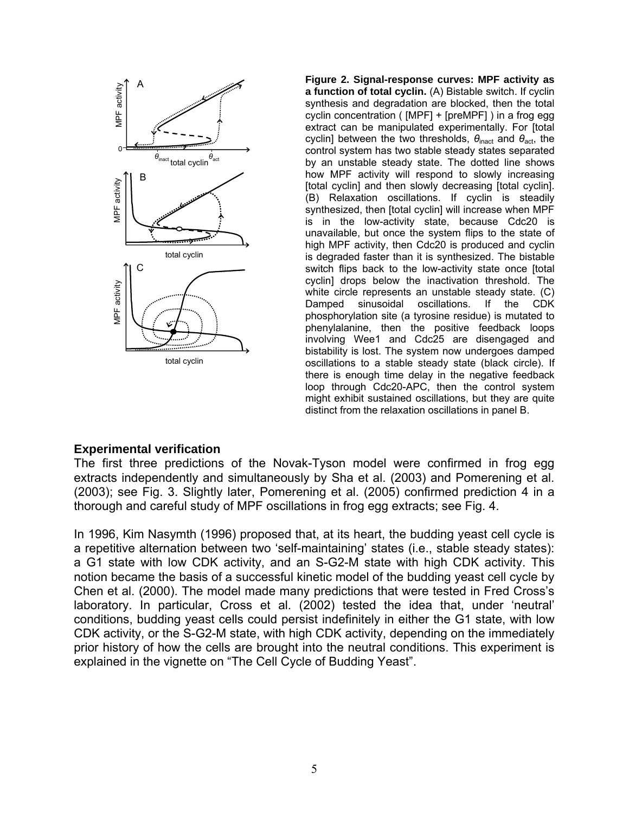

**Figure 2. Signal-response curves: MPF activity as a function of total cyclin.** (A) Bistable switch. If cyclin synthesis and degradation are blocked, then the total cyclin concentration ( [MPF] + [preMPF] ) in a frog egg extract can be manipulated experimentally. For [total cyclin] between the two thresholds,  $θ_{\text{inact}}$  and  $θ_{\text{act}}$ , the control system has two stable steady states separated by an unstable steady state. The dotted line shows how MPF activity will respond to slowly increasing [total cyclin] and then slowly decreasing [total cyclin]. (B) Relaxation oscillations. If cyclin is steadily synthesized, then [total cyclin] will increase when MPF is in the low-activity state, because Cdc20 is unavailable, but once the system flips to the state of high MPF activity, then Cdc20 is produced and cyclin is degraded faster than it is synthesized. The bistable switch flips back to the low-activity state once [total cyclin] drops below the inactivation threshold. The white circle represents an unstable steady state. (C) Damped sinusoidal oscillations. If the CDK phosphorylation site (a tyrosine residue) is mutated to phenylalanine, then the positive feedback loops involving Wee1 and Cdc25 are disengaged and bistability is lost. The system now undergoes damped oscillations to a stable steady state (black circle). If there is enough time delay in the negative feedback loop through Cdc20-APC, then the control system might exhibit sustained oscillations, but they are quite distinct from the relaxation oscillations in panel B.

#### **Experimental verification**

The first three predictions of the Novak-Tyson model were confirmed in frog egg extracts independently and simultaneously by Sha et al. (2003) and Pomerening et al. (2003); see Fig. 3. Slightly later, Pomerening et al. (2005) confirmed prediction 4 in a thorough and careful study of MPF oscillations in frog egg extracts; see Fig. 4.

In 1996, Kim Nasymth (1996) proposed that, at its heart, the budding yeast cell cycle is a repetitive alternation between two 'self-maintaining' states (i.e., stable steady states): a G1 state with low CDK activity, and an S-G2-M state with high CDK activity. This notion became the basis of a successful kinetic model of the budding yeast cell cycle by Chen et al. (2000). The model made many predictions that were tested in Fred Cross's laboratory. In particular, Cross et al. (2002) tested the idea that, under 'neutral' conditions, budding yeast cells could persist indefinitely in either the G1 state, with low CDK activity, or the S-G2-M state, with high CDK activity, depending on the immediately prior history of how the cells are brought into the neutral conditions. This experiment is explained in the vignette on "The Cell Cycle of Budding Yeast".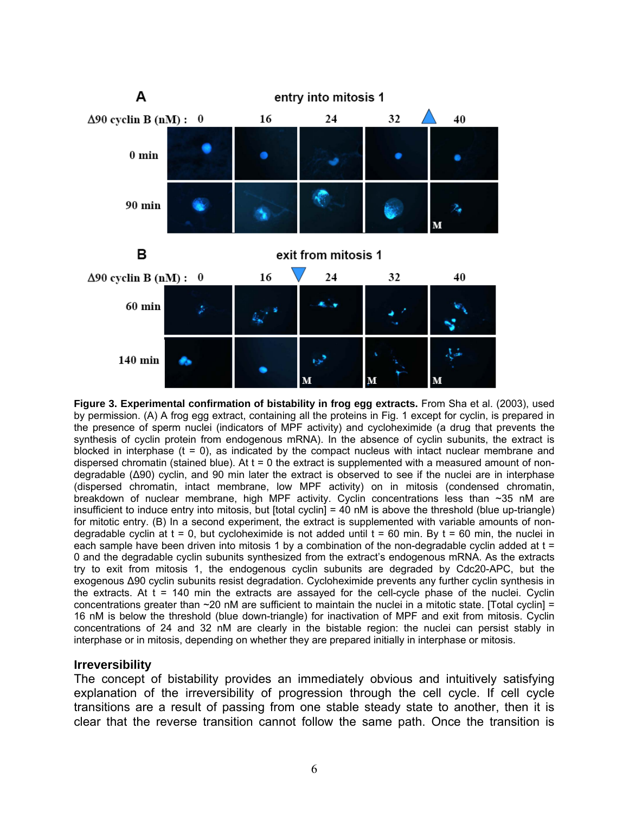

**Figure 3. Experimental confirmation of bistability in frog egg extracts.** From Sha et al. (2003), used by permission. (A) A frog egg extract, containing all the proteins in Fig. 1 except for cyclin, is prepared in the presence of sperm nuclei (indicators of MPF activity) and cycloheximide (a drug that prevents the synthesis of cyclin protein from endogenous mRNA). In the absence of cyclin subunits, the extract is blocked in interphase  $(t = 0)$ , as indicated by the compact nucleus with intact nuclear membrane and dispersed chromatin (stained blue). At  $t = 0$  the extract is supplemented with a measured amount of nondegradable (Δ90) cyclin, and 90 min later the extract is observed to see if the nuclei are in interphase (dispersed chromatin, intact membrane, low MPF activity) on in mitosis (condensed chromatin,  $\overline{a}$  breakdown of nuclear membrane, high MPF activity. Cyclin concentrations less than ~35 nM are insufficient to induce entry into mitosis, but [total cyclin] = 40 nM is above the threshold (blue up-triangle) for mitotic entry. (B) In a second experiment, the extract is supplemented with variable amounts of nondegradable cyclin at  $t = 0$ , but cycloheximide is not added until  $t = 60$  min. By  $t = 60$  min, the nuclei in each sample have been driven into mitosis 1 by a combination of the non-degradable cyclin added at  $t =$ 0 and the degradable cyclin subunits synthesized from the extract's endogenous mRNA. As the extracts try to exit from mitosis 1, the endogenous cyclin subunits are degraded by Cdc20-APC, but the exogenous Δ90 cyclin subunits resist degradation. Cycloheximide prevents any further cyclin synthesis in the extracts. At  $t = 140$  min the extracts are assayed for the cell-cycle phase of the nuclei. Cyclin concentrations greater than  $\sim$  20 nM are sufficient to maintain the nuclei in a mitotic state. [Total cyclin] = 16 nM is below the threshold (blue down-triangle) for inactivation of MPF and exit from mitosis. Cyclin concentrations of 24 and 32 nM are clearly in the bistable region: the nuclei can persist stably in interphase or in mitosis, depending on whether they are prepared initially in interphase or mitosis.

# **Irreversibility**

The concept of bistability provides an immediately obvious and intuitively satisfying explanation of the irreversibility of progression through the cell cycle. If cell cycle transitions are a result of passing from one stable steady state to another, then it is clear that the reverse transition cannot follow the same path. Once the transition is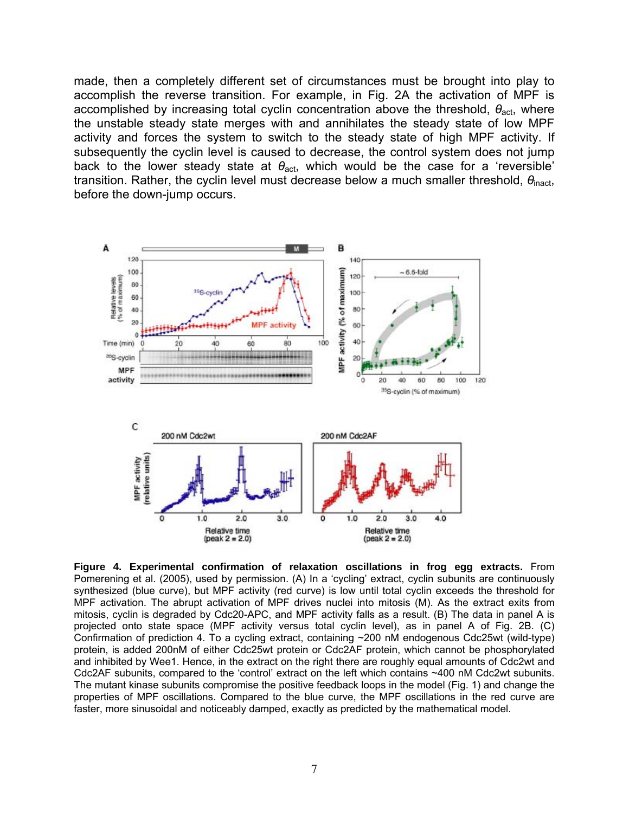made, then a completely different set of circumstances must be brought into play to accomplish the reverse transition. For example, in Fig. 2A the activation of MPF is accomplished by increasing total cyclin concentration above the threshold, θ<sub>act</sub>, where the unstable steady state merges with and annihilates the steady state of low MPF activity and forces the system to switch to the steady state of high MPF activity. If subsequently the cyclin level is caused to decrease, the control system does not jump back to the lower steady state at  $\theta_{\text{act}}$ , which would be the case for a 'reversible' transition. Rather, the cyclin level must decrease below a much smaller threshold, *θ*inact, before the down-jump occurs.



**Figure 4. Experimental confirmation of relaxation oscillations in frog egg extracts.** From Pomerening et al. (2005), used by permission. (A) In a 'cycling' extract, cyclin subunits are continuously synthesized (blue curve), but MPF activity (red curve) is low until total cyclin exceeds the threshold for MPF activation. The abrupt activation of MPF drives nuclei into mitosis (M). As the extract exits from mitosis, cyclin is degraded by Cdc20-APC, and MPF activity falls as a result. (B) The data in panel A is projected onto state space (MPF activity versus total cyclin level), as in panel A of Fig. 2B. (C) Confirmation of prediction 4. To a cycling extract, containing ~200 nM endogenous Cdc25wt (wild-type) protein, is added 200nM of either Cdc25wt protein or Cdc2AF protein, which cannot be phosphorylated and inhibited by Wee1. Hence, in the extract on the right there are roughly equal amounts of Cdc2wt and Cdc2AF subunits, compared to the 'control' extract on the left which contains ~400 nM Cdc2wt subunits. The mutant kinase subunits compromise the positive feedback loops in the model (Fig. 1) and change the properties of MPF oscillations. Compared to the blue curve, the MPF oscillations in the red curve are faster, more sinusoidal and noticeably damped, exactly as predicted by the mathematical model.